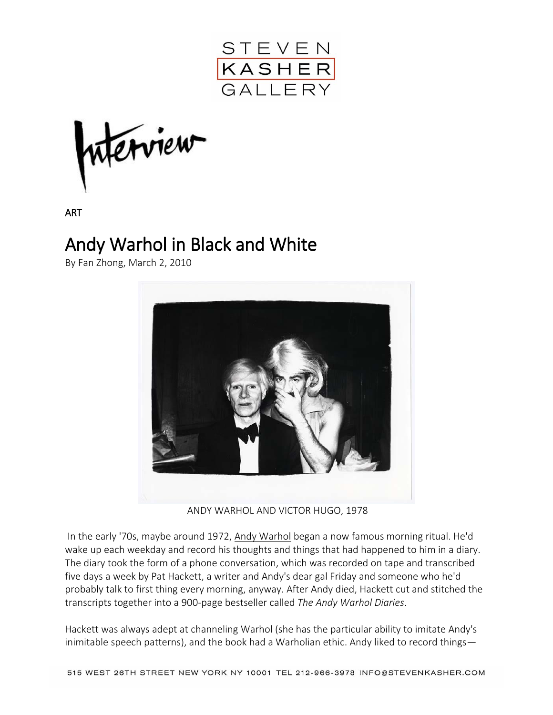

terview

ART

## Andy Warhol in Black and White

By Fan Zhong, March 2, 2010



ANDY WARHOL AND VICTOR HUGO, 1978

In the early '70s, maybe around 1972, [Andy Warhol](http://www.interviewmagazine.com/search/andy+warhol) began a now famous morning ritual. He'd wake up each weekday and record his thoughts and things that had happened to him in a diary. The diary took the form of a phone conversation, which was recorded on tape and transcribed five days a week by Pat Hackett, a writer and Andy's dear gal Friday and someone who he'd probably talk to first thing every morning, anyway. After Andy died, Hackett cut and stitched the transcripts together into a 900-page bestseller called *The Andy Warhol Diaries*.

Hackett was always adept at channeling Warhol (she has the particular ability to imitate Andy's inimitable speech patterns), and the book had a Warholian ethic. Andy liked to record things—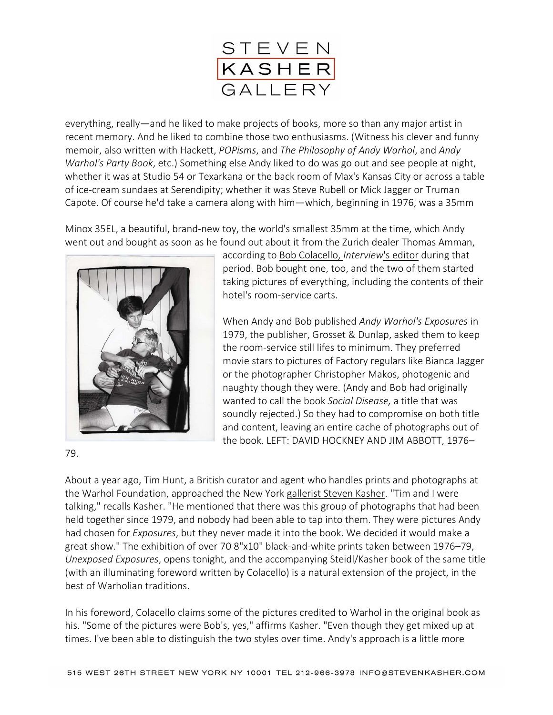

everything, really—and he liked to make projects of books, more so than any major artist in recent memory. And he liked to combine those two enthusiasms. (Witness his clever and funny memoir, also written with Hackett, *POPisms*, and *The Philosophy of Andy Warhol*, and *Andy Warhol's Party Book*, etc.) Something else Andy liked to do was go out and see people at night, whether it was at Studio 54 or Texarkana or the back room of Max's Kansas City or across a table of ice-cream sundaes at Serendipity; whether it was Steve Rubell or Mick Jagger or Truman Capote. Of course he'd take a camera along with him—which, beginning in 1976, was a 35mm

Minox 35EL, a beautiful, brand-new toy, the world's smallest 35mm at the time, which Andy went out and bought as soon as he found out about it from the Zurich dealer Thomas Amman,



according to [Bob Colacello,](http://www.interviewmagazine.com/search/bob+colacello) *Interview*'s editor during that period. Bob bought one, too, and the two of them started taking pictures of everything, including the contents of their hotel's room-service carts.

When Andy and Bob published *Andy Warhol's Exposures* in 1979, the publisher, Grosset & Dunlap, asked them to keep the room-service still lifes to minimum. They preferred movie stars to pictures of Factory regulars like Bianca Jagger or the photographer Christopher Makos, photogenic and naughty though they were. (Andy and Bob had originally wanted to call the book *Social Disease,* a title that was soundly rejected.) So they had to compromise on both title and content, leaving an entire cache of photographs out of the book. LEFT: DAVID HOCKNEY AND JIM ABBOTT, 1976–

79.

About a year ago, Tim Hunt, a British curator and agent who handles prints and photographs at the Warhol Foundation, approached the New York [gallerist Steven Kasher.](http://www.stevenkasher.com/html/home.asp) "Tim and I were talking," recalls Kasher. "He mentioned that there was this group of photographs that had been held together since 1979, and nobody had been able to tap into them. They were pictures Andy had chosen for *Exposures*, but they never made it into the book. We decided it would make a great show." The exhibition of over 70 8"x10" black-and-white prints taken between 1976–79, *Unexposed Exposures*, opens tonight, and the accompanying Steidl/Kasher book of the same title (with an illuminating foreword written by Colacello) is a natural extension of the project, in the best of Warholian traditions.

In his foreword, Colacello claims some of the pictures credited to Warhol in the original book as his. "Some of the pictures were Bob's, yes," affirms Kasher. "Even though they get mixed up at times. I've been able to distinguish the two styles over time. Andy's approach is a little more